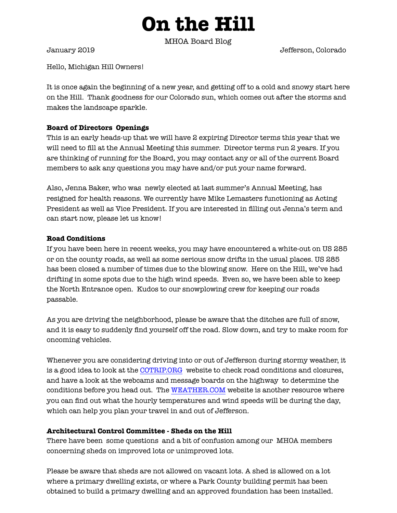# **On the Hill**

MHOA Board Blog

January 2019 Jefferson, Colorado

Hello, Michigan Hill Owners!

It is once again the beginning of a new year, and getting off to a cold and snowy start here on the Hill. Thank goodness for our Colorado sun, which comes out after the storms and makes the landscape sparkle.

## **Board of Directors Openings**

This is an early heads-up that we will have 2 expiring Director terms this year that we will need to fill at the Annual Meeting this summer. Director terms run 2 years. If you are thinking of running for the Board, you may contact any or all of the current Board members to ask any questions you may have and/or put your name forward.

Also, Jenna Baker, who was newly elected at last summer's Annual Meeting, has resigned for health reasons. We currently have Mike Lemasters functioning as Acting President as well as Vice President. If you are interested in filling out Jenna's term and can start now, please let us know!

### **Road Conditions**

If you have been here in recent weeks, you may have encountered a white-out on US 285 or on the county roads, as well as some serious snow drifts in the usual places. US 285 has been closed a number of times due to the blowing snow. Here on the Hill, we've had drifting in some spots due to the high wind speeds. Even so, we have been able to keep the North Entrance open. Kudos to our snowplowing crew for keeping our roads passable.

As you are driving the neighborhood, please be aware that the ditches are full of snow, and it is easy to suddenly find yourself off the road. Slow down, and try to make room for oncoming vehicles.

Whenever you are considering driving into or out of Jefferson during stormy weather, it is a good idea to look at the [COTRIP.ORG](http://cotrip.org) website to check road conditions and closures, and have a look at the webcams and message boards on the highway to determine the conditions before you head out. The [WEATHER.COM](http://weather.com) website is another resource where you can find out what the hourly temperatures and wind speeds will be during the day, which can help you plan your travel in and out of Jefferson.

#### **Architectural Control Committee - Sheds on the Hill**

There have been some questions and a bit of confusion among our MHOA members concerning sheds on improved lots or unimproved lots.

Please be aware that sheds are not allowed on vacant lots. A shed is allowed on a lot where a primary dwelling exists, or where a Park County building permit has been obtained to build a primary dwelling and an approved foundation has been installed.